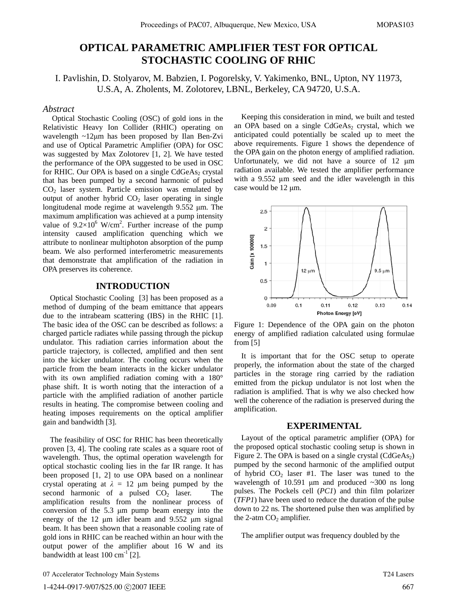# **OPTICAL PARAMETRIC AMPLIFIER TEST FOR OPTICAL STOCHASTIC COOLING OF RHIC**

I. Pavlishin, D. Stolyarov, M. Babzien, I. Pogorelsky, V. Yakimenko, BNL, Upton, NY 11973, U.S.A, A. Zholents, M. Zolotorev, LBNL, Berkeley, CA 94720, U.S.A.

# *Abstract*

 Optical Stochastic Cooling (OSC) of gold ions in the Relativistic Heavy Ion Collider (RHIC) operating on wavelength  $\sim$ 12 $\mu$ m has been proposed by Ilan Ben-Zvi and use of Optical Parametric Amplifier (OPA) for OSC was suggested by Max Zolotorev [1, 2]. We have tested the performance of the OPA suggested to be used in OSC for RHIC. Our OPA is based on a single  $CdGeAs<sub>2</sub>$  crystal that has been pumped by a second harmonic of pulsed  $CO<sub>2</sub>$  laser system. Particle emission was emulated by output of another hybrid  $CO<sub>2</sub>$  laser operating in single longitudenal mode regime at wavelength  $9.552 \mu m$ . The maximum amplification was achieved at a pump intensity value of  $9.2 \times 10^6$  W/cm<sup>2</sup>. Further increase of the pump intensity caused amplification quenching which we attribute to nonlinear multiphoton absorption of the pump beam. We also performed interferometric measurements that demonstrate that amplification of the radiation in OPA preserves its coherence.

# **INTRODUCTION**

Optical Stochastic Cooling [3] has been proposed as a method of dumping of the beam emittance that appears due to the intrabeam scattering (IBS) in the RHIC [1]. The basic idea of the OSC can be described as follows: a charged particle radiates while passing through the pickup undulator. This radiation carries information about the particle trajectory, is collected, amplified and then sent into the kicker undulator. The cooling occurs when the particle from the beam interacts in the kicker undulator with its own amplified radiation coming with a 180° phase shift. It is worth noting that the interaction of a particle with the amplified radiation of another particle results in heating. The compromise between cooling and heating imposes requirements on the optical amplifier gain and bandwidth [3].

The feasibility of OSC for RHIC has been theoretically proven [3, 4]. The cooling rate scales as a square root of wavelength. Thus, the optimal operation wavelength for optical stochastic cooling lies in the far IR range. It has been proposed [1, 2] to use OPA based on a nonlinear crystal operating at  $\lambda = 12$  µm being pumped by the second harmonic of a pulsed  $CO<sub>2</sub>$  laser. The amplification results from the nonlinear process of conversion of the  $5.3 \mu m$  pump beam energy into the energy of the 12  $\mu$ m idler beam and 9.552  $\mu$ m signal beam. It has been shown that a reasonable cooling rate of gold ions in RHIC can be reached within an hour with the output power of the amplifier about 16 W and its bandwidth at least  $100 \text{ cm}^{-1}$  [2].

Keeping this consideration in mind, we built and tested an OPA based on a single  $CdGeAs<sub>2</sub>$  crystal, which we anticipated could potentially be scaled up to meet the above requirements. Figure 1 shows the dependence of the OPA gain on the photon energy of amplified radiation. Unfortunately, we did not have a source of  $12 \mu m$ radiation available. We tested the amplifier performance with a 9.552 μm seed and the idler wavelength in this case would be 12 µm.



Figure 1: Dependence of the OPA gain on the photon energy of amplified radiation calculated using formulae from [5]

It is important that for the OSC setup to operate properly, the information about the state of the charged particles in the storage ring carried by the radiation emitted from the pickup undulator is not lost when the radiation is amplified. That is why we also checked how well the coherence of the radiation is preserved during the amplification.

### **EXPERIMENTAL**

Layout of the optical parametric amplifier (OPA) for the proposed optical stochastic cooling setup is shown in Figure 2. The OPA is based on a single crystal  $(CdGeAs<sub>2</sub>)$ pumped by the second harmonic of the amplified output of hybrid  $CO<sub>2</sub>$  laser #1. The laser was tuned to the wavelength of 10.591  $\mu$ m and produced  $\sim$ 300 ns long pulses. The Pockels cell (*PC1*) and thin film polarizer (*TFP1*) have been used to reduce the duration of the pulse down to 22 ns. The shortened pulse then was amplified by the 2-atm  $CO<sub>2</sub>$  amplifier.

The amplifier output was frequency doubled by the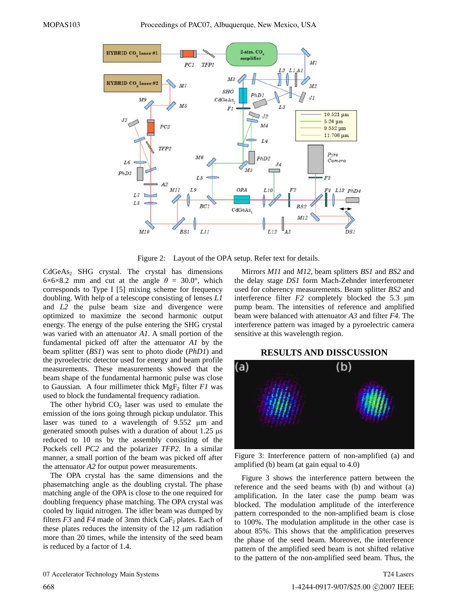

Figure 2: Layout of the OPA setup. Refer text for details.

 $CdGeAs<sub>2</sub>$  SHG crystal. The crystal has dimensions  $6\times6\times8.2$  mm and cut at the angle  $\theta = 30.0^{\circ}$ , which corresponds to Type I [5] mixing scheme for frequency doubling. With help of a telescope consisting of lenses *L1* and *L2* the pulse beam size and divergence were optimized to maximize the second harmonic output energy. The energy of the pulse entering the SHG crystal was varied with an attenuator *A1*. A small portion of the fundamental picked off after the attenuator *A1* by the beam splitter (*BS1*) was sent to photo diode (*PhD1*) and the pyroelectric detector used for energy and beam profile measurements. These measurements showed that the beam shape of the fundamental harmonic pulse was close to Gaussian. A four millimeter thick MgF<sub>2</sub> filter *F1* was used to block the fundamental frequency radiation.

The other hybrid  $CO<sub>2</sub>$  laser was used to emulate the emission of the ions going through pickup undulator. This laser was tuned to a wavelength of 9.552 μm and generated smooth pulses with a duration of about  $1.25 \mu s$ reduced to 10 ns by the assembly consisting of the Pockels cell *PC2* and the polarizer *TFP2*. In a similar manner, a small portion of the beam was picked off after the attenuator *A2* for output power measurements.

The OPA crystal has the same dimensions and the phasematching angle as the doubling crystal. The phase matching angle of the OPA is close to the one required for doubling frequency phase matching. The OPA crystal was cooled by liquid nitrogen. The idler beam was dumped by filters  $F3$  and  $F4$  made of 3mm thick  $CaF_2$  plates. Each of these plates reduces the intensity of the  $12 \mu m$  radiation more than 20 times, while the intensity of the seed beam is reduced by a factor of 1.4.

Mirrors *M11* and *M12*, beam splitters *BS1* and *BS2* and the delay stage *DS1* form Mach-Zehnder interferometer used for coherency measurements. Beam splitter *BS2* and interference filter  $F2$  completely blocked the 5.3  $\mu$ m pump beam. The intensities of reference and amplified beam were balanced with attenuator *A3* and filter *F4*. The interference pattern was imaged by a pyroelectric camera sensitive at this wavelength region.

#### **RESULTS AND DISSCUSSION**



Figure 3: Interference pattern of non-amplified (a) and amplified (b) beam (at gain equal to 4.0)

Figure 3 shows the interference pattern between the reference and the seed beams with (b) and without (a) amplification. In the later case the pump beam was blocked. The modulation amplitude of the interference pattern corresponded to the non-amplified beam is close to 100%. The modulation amplitude in the other case is about 85%. This shows that the amplification preserves the phase of the seed beam. Moreover, the interference pattern of the amplified seed beam is not shifted relative to the pattern of the non-amplified seed beam. Thus, the

T24 Lasers